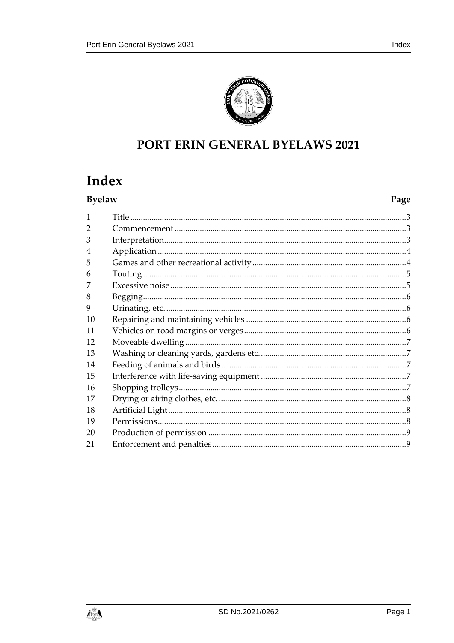

## PORT ERIN GENERAL BYELAWS 2021

# Index

| <b>Byelaw</b>  |  | Page |
|----------------|--|------|
| $\mathbf{1}$   |  |      |
| $\overline{2}$ |  |      |
| 3              |  |      |
| $\overline{4}$ |  |      |
| 5              |  |      |
| 6              |  |      |
|                |  |      |
| 8              |  |      |
| 9              |  |      |
| 10             |  |      |
| 11             |  |      |
| 12             |  |      |
| 13             |  |      |
| 14             |  |      |
| 15             |  |      |
| 16             |  |      |
| 17             |  |      |
| 18             |  |      |
| 19             |  |      |
| 20             |  |      |
| 21             |  |      |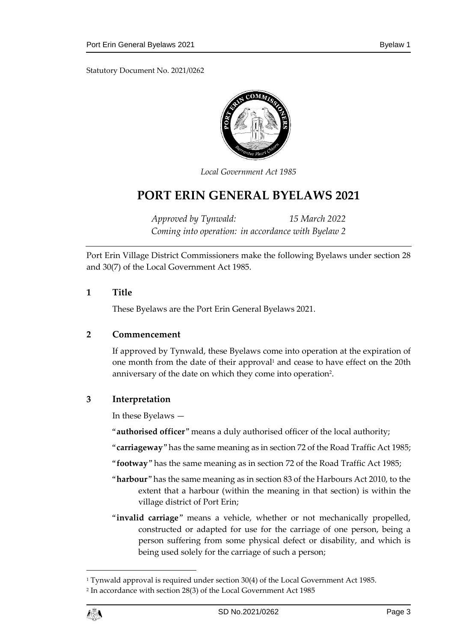Statutory Document No. 2021/0262



*Local Government Act 1985*

## **PORT ERIN GENERAL BYELAWS 2021**

*Approved by Tynwald: 15 March 2022 Coming into operation: in accordance with Byelaw 2*

Port Erin Village District Commissioners make the following Byelaws under section 28 and 30(7) of the Local Government Act 1985.

#### <span id="page-2-0"></span>**1 Title**

These Byelaws are the Port Erin General Byelaws 2021.

#### <span id="page-2-1"></span>**2 Commencement**

If approved by Tynwald, these Byelaws come into operation at the expiration of one month from the date of their approval<sup>1</sup> and cease to have effect on the 20th anniversary of the date on which they come into operation<sup>2</sup>.

## <span id="page-2-2"></span>**3 Interpretation**

In these Byelaws —

"**authorised officer**" means a duly authorised officer of the local authority;

"**carriageway**" has the same meaning as in section 72 of the Road Traffic Act 1985;

- "**footway**" has the same meaning as in section 72 of the Road Traffic Act 1985;
- "**harbour**" has the same meaning as in section 83 of the Harbours Act 2010, to the extent that a harbour (within the meaning in that section) is within the village district of Port Erin;
- "**invalid carriage**" means a vehicle, whether or not mechanically propelled, constructed or adapted for use for the carriage of one person, being a person suffering from some physical defect or disability, and which is being used solely for the carriage of such a person;

1

<sup>1</sup> Tynwald approval is required under section 30(4) of the Local Government Act 1985.

<sup>2</sup> In accordance with section 28(3) of the Local Government Act 1985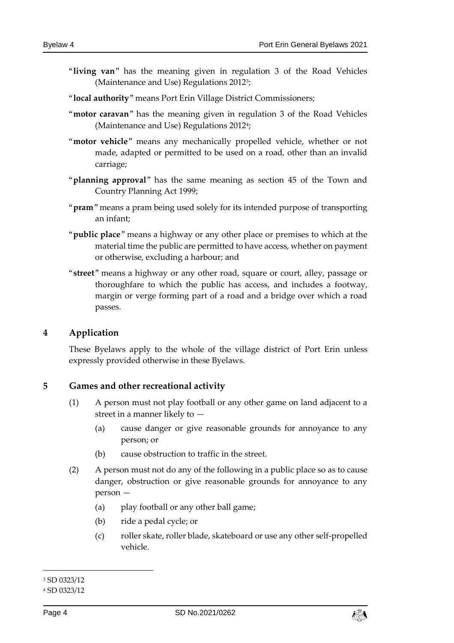- "**living van**" has the meaning given in regulation 3 of the Road Vehicles (Maintenance and Use) Regulations 2012<sup>3</sup> ;
- "**local authority**" means Port Erin Village District Commissioners;
- "**motor caravan**" has the meaning given in regulation 3 of the Road Vehicles (Maintenance and Use) Regulations 2012<sup>4</sup> ;
- "**motor vehicle**" means any mechanically propelled vehicle, whether or not made, adapted or permitted to be used on a road, other than an invalid carriage;
- "**planning approval**" has the same meaning as section 45 of the Town and Country Planning Act 1999;
- "**pram**" means a pram being used solely for its intended purpose of transporting an infant;
- "**public place**" means a highway or any other place or premises to which at the material time the public are permitted to have access, whether on payment or otherwise, excluding a harbour; and
- "**street**" means a highway or any other road, square or court, alley, passage or thoroughfare to which the public has access, and includes a footway, margin or verge forming part of a road and a bridge over which a road passes.

## <span id="page-3-0"></span>**4 Application**

These Byelaws apply to the whole of the village district of Port Erin unless expressly provided otherwise in these Byelaws.

#### <span id="page-3-1"></span>**5 Games and other recreational activity**

- (1) A person must not play football or any other game on land adjacent to a street in a manner likely to —
	- (a) cause danger or give reasonable grounds for annoyance to any person; or
	- (b) cause obstruction to traffic in the street.
- (2) A person must not do any of the following in a public place so as to cause danger, obstruction or give reasonable grounds for annoyance to any person —
	- (a) play football or any other ball game;
	- (b) ride a pedal cycle; or
	- (c) roller skate, roller blade, skateboard or use any other self-propelled vehicle.

-



<sup>3</sup> SD 0323/12

<sup>4</sup> SD 0323/12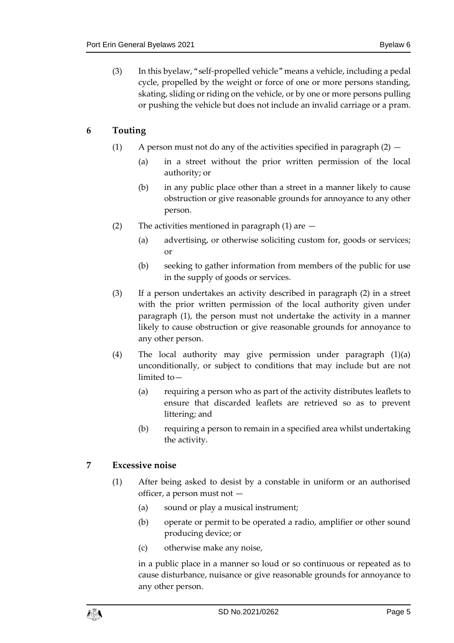(3) In this byelaw, "self-propelled vehicle" means a vehicle, including a pedal cycle, propelled by the weight or force of one or more persons standing, skating, sliding or riding on the vehicle, or by one or more persons pulling or pushing the vehicle but does not include an invalid carriage or a pram.

## <span id="page-4-0"></span>**6 Touting**

- (1) A person must not do any of the activities specified in paragraph  $(2)$ 
	- (a) in a street without the prior written permission of the local authority; or
	- (b) in any public place other than a street in a manner likely to cause obstruction or give reasonable grounds for annoyance to any other person.
- (2) The activities mentioned in paragraph  $(1)$  are  $-$ 
	- (a) advertising, or otherwise soliciting custom for, goods or services; or
	- (b) seeking to gather information from members of the public for use in the supply of goods or services.
- (3) If a person undertakes an activity described in paragraph (2) in a street with the prior written permission of the local authority given under paragraph (1), the person must not undertake the activity in a manner likely to cause obstruction or give reasonable grounds for annoyance to any other person.
- (4) The local authority may give permission under paragraph (1)(a) unconditionally, or subject to conditions that may include but are not limited to—
	- (a) requiring a person who as part of the activity distributes leaflets to ensure that discarded leaflets are retrieved so as to prevent littering; and
	- (b) requiring a person to remain in a specified area whilst undertaking the activity.

## <span id="page-4-1"></span>**7 Excessive noise**

- (1) After being asked to desist by a constable in uniform or an authorised officer, a person must not —
	- (a) sound or play a musical instrument;
	- (b) operate or permit to be operated a radio, amplifier or other sound producing device; or
	- (c) otherwise make any noise,

in a public place in a manner so loud or so continuous or repeated as to cause disturbance, nuisance or give reasonable grounds for annoyance to any other person.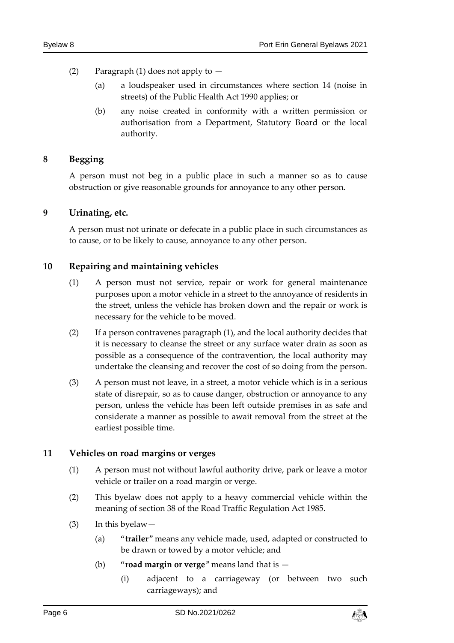- (2) Paragraph (1) does not apply to
	- (a) a loudspeaker used in circumstances where section 14 (noise in streets) of the Public Health Act 1990 applies; or
	- (b) any noise created in conformity with a written permission or authorisation from a Department, Statutory Board or the local authority.

#### <span id="page-5-0"></span>**8 Begging**

A person must not beg in a public place in such a manner so as to cause obstruction or give reasonable grounds for annoyance to any other person.

#### <span id="page-5-1"></span>**9 Urinating, etc.**

A person must not urinate or defecate in a public place in such circumstances as to cause, or to be likely to cause, annoyance to any other person.

#### <span id="page-5-2"></span>**10 Repairing and maintaining vehicles**

- (1) A person must not service, repair or work for general maintenance purposes upon a motor vehicle in a street to the annoyance of residents in the street, unless the vehicle has broken down and the repair or work is necessary for the vehicle to be moved.
- (2) If a person contravenes paragraph (1), and the local authority decides that it is necessary to cleanse the street or any surface water drain as soon as possible as a consequence of the contravention, the local authority may undertake the cleansing and recover the cost of so doing from the person.
- (3) A person must not leave, in a street, a motor vehicle which is in a serious state of disrepair, so as to cause danger, obstruction or annoyance to any person, unless the vehicle has been left outside premises in as safe and considerate a manner as possible to await removal from the street at the earliest possible time.

#### <span id="page-5-3"></span>**11 Vehicles on road margins or verges**

- (1) A person must not without lawful authority drive, park or leave a motor vehicle or trailer on a road margin or verge.
- (2) This byelaw does not apply to a heavy commercial vehicle within the meaning of section 38 of the Road Traffic Regulation Act 1985.
- (3) In this byelaw—
	- (a) "**trailer**" means any vehicle made, used, adapted or constructed to be drawn or towed by a motor vehicle; and
	- (b) "**road margin or verge**" means land that is
		- (i) adjacent to a carriageway (or between two such carriageways); and

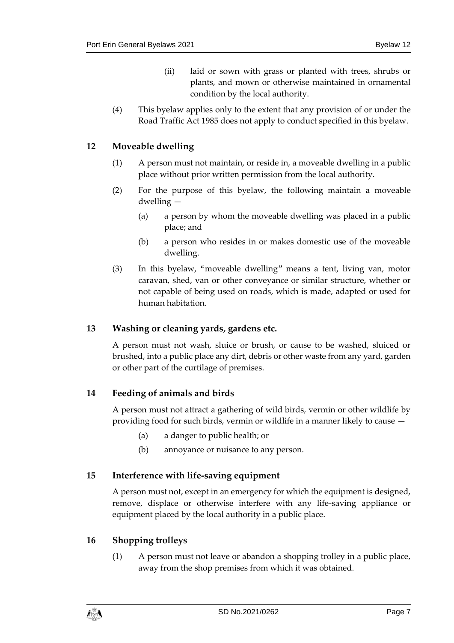- (ii) laid or sown with grass or planted with trees, shrubs or plants, and mown or otherwise maintained in ornamental condition by the local authority.
- (4) This byelaw applies only to the extent that any provision of or under the Road Traffic Act 1985 does not apply to conduct specified in this byelaw.

## <span id="page-6-0"></span>**12 Moveable dwelling**

- (1) A person must not maintain, or reside in, a moveable dwelling in a public place without prior written permission from the local authority.
- (2) For the purpose of this byelaw, the following maintain a moveable dwelling —
	- (a) a person by whom the moveable dwelling was placed in a public place; and
	- (b) a person who resides in or makes domestic use of the moveable dwelling.
- (3) In this byelaw, "moveable dwelling" means a tent, living van, motor caravan, shed, van or other conveyance or similar structure, whether or not capable of being used on roads, which is made, adapted or used for human habitation.

## <span id="page-6-1"></span>**13 Washing or cleaning yards, gardens etc.**

A person must not wash, sluice or brush, or cause to be washed, sluiced or brushed, into a public place any dirt, debris or other waste from any yard, garden or other part of the curtilage of premises.

## <span id="page-6-2"></span>**14 Feeding of animals and birds**

A person must not attract a gathering of wild birds, vermin or other wildlife by providing food for such birds, vermin or wildlife in a manner likely to cause —

- (a) a danger to public health; or
- (b) annoyance or nuisance to any person.

## <span id="page-6-3"></span>**15 Interference with life-saving equipment**

A person must not, except in an emergency for which the equipment is designed, remove, displace or otherwise interfere with any life-saving appliance or equipment placed by the local authority in a public place.

## <span id="page-6-4"></span>**16 Shopping trolleys**

(1) A person must not leave or abandon a shopping trolley in a public place, away from the shop premises from which it was obtained.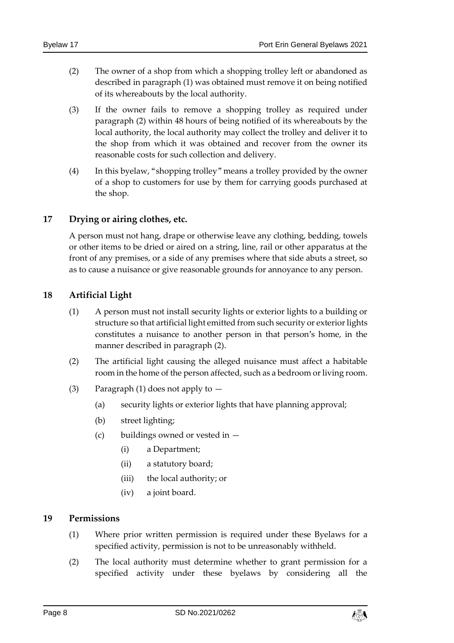- (2) The owner of a shop from which a shopping trolley left or abandoned as described in paragraph (1) was obtained must remove it on being notified of its whereabouts by the local authority.
- (3) If the owner fails to remove a shopping trolley as required under paragraph (2) within 48 hours of being notified of its whereabouts by the local authority, the local authority may collect the trolley and deliver it to the shop from which it was obtained and recover from the owner its reasonable costs for such collection and delivery.
- (4) In this byelaw, "shopping trolley" means a trolley provided by the owner of a shop to customers for use by them for carrying goods purchased at the shop.

## <span id="page-7-0"></span>**17 Drying or airing clothes, etc.**

A person must not hang, drape or otherwise leave any clothing, bedding, towels or other items to be dried or aired on a string, line, rail or other apparatus at the front of any premises, or a side of any premises where that side abuts a street, so as to cause a nuisance or give reasonable grounds for annoyance to any person.

#### <span id="page-7-1"></span>**18 Artificial Light**

- (1) A person must not install security lights or exterior lights to a building or structure so that artificial light emitted from such security or exterior lights constitutes a nuisance to another person in that person's home, in the manner described in paragraph (2).
- (2) The artificial light causing the alleged nuisance must affect a habitable room in the home of the person affected, such as a bedroom or living room.
- (3) Paragraph (1) does not apply to  $-$ 
	- (a) security lights or exterior lights that have planning approval;
	- (b) street lighting;
	- (c) buildings owned or vested in
		- (i) a Department;
		- (ii) a statutory board;
		- (iii) the local authority; or
		- (iv) a joint board.

#### <span id="page-7-2"></span>**19 Permissions**

- (1) Where prior written permission is required under these Byelaws for a specified activity, permission is not to be unreasonably withheld.
- (2) The local authority must determine whether to grant permission for a specified activity under these byelaws by considering all the

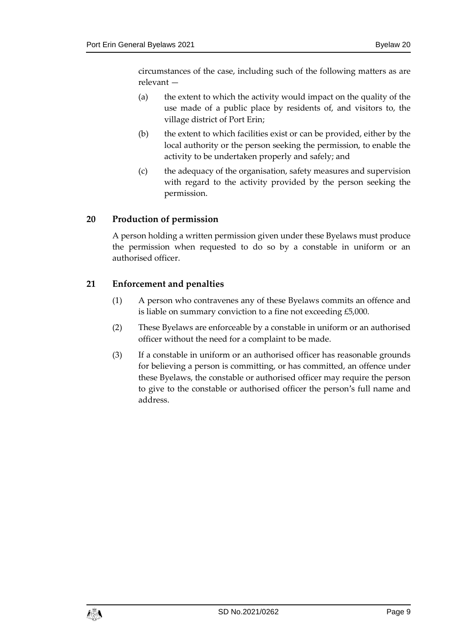circumstances of the case, including such of the following matters as are relevant —

- (a) the extent to which the activity would impact on the quality of the use made of a public place by residents of, and visitors to, the village district of Port Erin;
- (b) the extent to which facilities exist or can be provided, either by the local authority or the person seeking the permission, to enable the activity to be undertaken properly and safely; and
- (c) the adequacy of the organisation, safety measures and supervision with regard to the activity provided by the person seeking the permission.

## <span id="page-8-0"></span>**20 Production of permission**

A person holding a written permission given under these Byelaws must produce the permission when requested to do so by a constable in uniform or an authorised officer.

## <span id="page-8-1"></span>**21 Enforcement and penalties**

- (1) A person who contravenes any of these Byelaws commits an offence and is liable on summary conviction to a fine not exceeding £5,000.
- (2) These Byelaws are enforceable by a constable in uniform or an authorised officer without the need for a complaint to be made.
- (3) If a constable in uniform or an authorised officer has reasonable grounds for believing a person is committing, or has committed, an offence under these Byelaws, the constable or authorised officer may require the person to give to the constable or authorised officer the person's full name and address.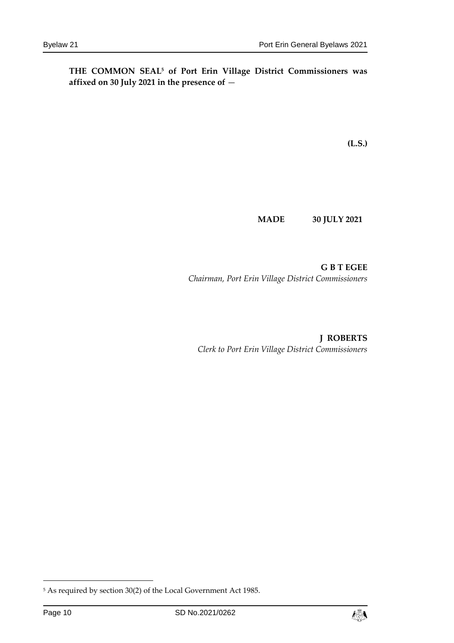**THE COMMON SEAL<sup>5</sup> of Port Erin Village District Commissioners was affixed on 30 July 2021 in the presence of** —

**(L.S.)**

**MADE 30 JULY 2021**

**G B T EGEE** *Chairman, Port Erin Village District Commissioners*

**J ROBERTS** *Clerk to Port Erin Village District Commissioners*

-



<sup>5</sup> As required by section 30(2) of the Local Government Act 1985.